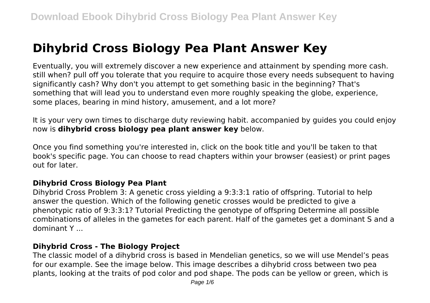# **Dihybrid Cross Biology Pea Plant Answer Key**

Eventually, you will extremely discover a new experience and attainment by spending more cash. still when? pull off you tolerate that you require to acquire those every needs subsequent to having significantly cash? Why don't you attempt to get something basic in the beginning? That's something that will lead you to understand even more roughly speaking the globe, experience, some places, bearing in mind history, amusement, and a lot more?

It is your very own times to discharge duty reviewing habit. accompanied by guides you could enjoy now is **dihybrid cross biology pea plant answer key** below.

Once you find something you're interested in, click on the book title and you'll be taken to that book's specific page. You can choose to read chapters within your browser (easiest) or print pages out for later.

## **Dihybrid Cross Biology Pea Plant**

Dihybrid Cross Problem 3: A genetic cross yielding a 9:3:3:1 ratio of offspring. Tutorial to help answer the question. Which of the following genetic crosses would be predicted to give a phenotypic ratio of 9:3:3:1? Tutorial Predicting the genotype of offspring Determine all possible combinations of alleles in the gametes for each parent. Half of the gametes get a dominant S and a dominant Y ...

## **Dihybrid Cross - The Biology Project**

The classic model of a dihybrid cross is based in Mendelian genetics, so we will use Mendel's peas for our example. See the image below. This image describes a dihybrid cross between two pea plants, looking at the traits of pod color and pod shape. The pods can be yellow or green, which is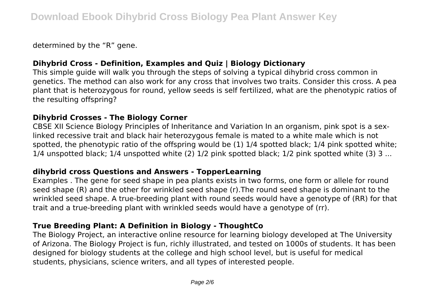determined by the "R" gene.

# **Dihybrid Cross - Definition, Examples and Quiz | Biology Dictionary**

This simple guide will walk you through the steps of solving a typical dihybrid cross common in genetics. The method can also work for any cross that involves two traits. Consider this cross. A pea plant that is heterozygous for round, yellow seeds is self fertilized, what are the phenotypic ratios of the resulting offspring?

## **Dihybrid Crosses - The Biology Corner**

CBSE XII Science Biology Principles of Inheritance and Variation In an organism, pink spot is a sexlinked recessive trait and black hair heterozygous female is mated to a white male which is not spotted, the phenotypic ratio of the offspring would be (1) 1/4 spotted black; 1/4 pink spotted white; 1/4 unspotted black; 1/4 unspotted white (2) 1/2 pink spotted black; 1/2 pink spotted white (3) 3 ...

## **dihybrid cross Questions and Answers - TopperLearning**

Examples . The gene for seed shape in pea plants exists in two forms, one form or allele for round seed shape (R) and the other for wrinkled seed shape (r).The round seed shape is dominant to the wrinkled seed shape. A true-breeding plant with round seeds would have a genotype of (RR) for that trait and a true-breeding plant with wrinkled seeds would have a genotype of (rr).

## **True Breeding Plant: A Definition in Biology - ThoughtCo**

The Biology Project, an interactive online resource for learning biology developed at The University of Arizona. The Biology Project is fun, richly illustrated, and tested on 1000s of students. It has been designed for biology students at the college and high school level, but is useful for medical students, physicians, science writers, and all types of interested people.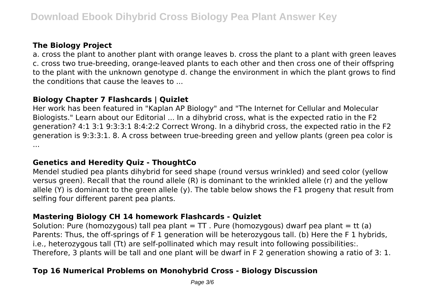# **The Biology Project**

a. cross the plant to another plant with orange leaves b. cross the plant to a plant with green leaves c. cross two true-breeding, orange-leaved plants to each other and then cross one of their offspring to the plant with the unknown genotype d. change the environment in which the plant grows to find the conditions that cause the leaves to ...

# **Biology Chapter 7 Flashcards | Quizlet**

Her work has been featured in "Kaplan AP Biology" and "The Internet for Cellular and Molecular Biologists." Learn about our Editorial ... In a dihybrid cross, what is the expected ratio in the F2 generation? 4:1 3:1 9:3:3:1 8:4:2:2 Correct Wrong. In a dihybrid cross, the expected ratio in the F2 generation is 9:3:3:1. 8. A cross between true-breeding green and yellow plants (green pea color is ...

## **Genetics and Heredity Quiz - ThoughtCo**

Mendel studied pea plants dihybrid for seed shape (round versus wrinkled) and seed color (yellow versus green). Recall that the round allele (R) is dominant to the wrinkled allele (r) and the yellow allele (Y) is dominant to the green allele (y). The table below shows the F1 progeny that result from selfing four different parent pea plants.

## **Mastering Biology CH 14 homework Flashcards - Quizlet**

Solution: Pure (homozygous) tall pea plant =  $TT$ . Pure (homozygous) dwarf pea plant = tt (a) Parents: Thus, the off-springs of F 1 generation will be heterozygous tall. (b) Here the F 1 hybrids, i.e., heterozygous tall (Tt) are self-pollinated which may result into following possibilities:. Therefore, 3 plants will be tall and one plant will be dwarf in F 2 generation showing a ratio of 3: 1.

# **Top 16 Numerical Problems on Monohybrid Cross - Biology Discussion**

Page 3/6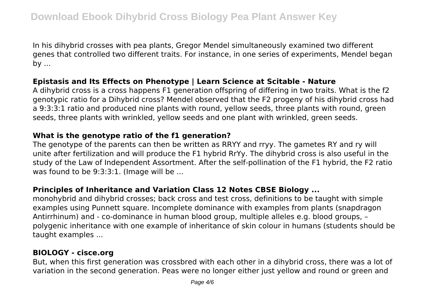In his dihybrid crosses with pea plants, Gregor Mendel simultaneously examined two different genes that controlled two different traits. For instance, in one series of experiments, Mendel began by ...

#### **Epistasis and Its Effects on Phenotype | Learn Science at Scitable - Nature**

A dihybrid cross is a cross happens F1 generation offspring of differing in two traits. What is the f2 genotypic ratio for a Dihybrid cross? Mendel observed that the F2 progeny of his dihybrid cross had a 9:3:3:1 ratio and produced nine plants with round, yellow seeds, three plants with round, green seeds, three plants with wrinkled, yellow seeds and one plant with wrinkled, green seeds.

## **What is the genotype ratio of the f1 generation?**

The genotype of the parents can then be written as RRYY and rryy. The gametes RY and ry will unite after fertilization and will produce the F1 hybrid RrYy. The dihybrid cross is also useful in the study of the Law of Independent Assortment. After the self-pollination of the F1 hybrid, the F2 ratio was found to be 9:3:3:1. (Image will be ...

## **Principles of Inheritance and Variation Class 12 Notes CBSE Biology ...**

monohybrid and dihybrid crosses; back cross and test cross, definitions to be taught with simple examples using Punnett square. Incomplete dominance with examples from plants (snapdragon Antirrhinum) and - co-dominance in human blood group, multiple alleles e.g. blood groups, – polygenic inheritance with one example of inheritance of skin colour in humans (students should be taught examples ...

## **BIOLOGY - cisce.org**

But, when this first generation was crossbred with each other in a dihybrid cross, there was a lot of variation in the second generation. Peas were no longer either just yellow and round or green and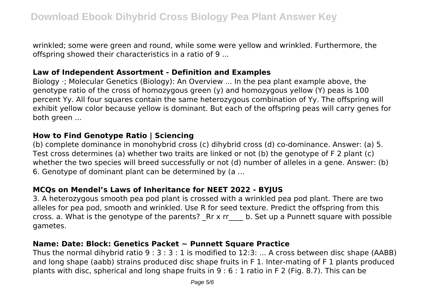wrinkled; some were green and round, while some were yellow and wrinkled. Furthermore, the offspring showed their characteristics in a ratio of 9 ...

## **Law of Independent Assortment - Definition and Examples**

Biology ⋅; Molecular Genetics (Biology): An Overview ... In the pea plant example above, the genotype ratio of the cross of homozygous green (y) and homozygous yellow (Y) peas is 100 percent Yy. All four squares contain the same heterozygous combination of Yy. The offspring will exhibit yellow color because yellow is dominant. But each of the offspring peas will carry genes for both green ...

#### **How to Find Genotype Ratio | Sciencing**

(b) complete dominance in monohybrid cross (c) dihybrid cross (d) co-dominance. Answer: (a) 5. Test cross determines (a) whether two traits are linked or not (b) the genotype of F 2 plant (c) whether the two species will breed successfully or not (d) number of alleles in a gene. Answer: (b) 6. Genotype of dominant plant can be determined by (a ...

## **MCQs on Mendel's Laws of Inheritance for NEET 2022 - BYJUS**

3. A heterozygous smooth pea pod plant is crossed with a wrinkled pea pod plant. There are two alleles for pea pod, smooth and wrinkled. Use R for seed texture. Predict the offspring from this cross. a. What is the genotype of the parents?  $Rr \times rr$  b. Set up a Punnett square with possible gametes.

## **Name: Date: Block: Genetics Packet ~ Punnett Square Practice**

Thus the normal dihybrid ratio 9 : 3 : 3 : 1 is modified to 12:3: ... A cross between disc shape (AABB) and long shape (aabb) strains produced disc shape fruits in F 1. Inter-mating of F 1 plants produced plants with disc, spherical and long shape fruits in 9 : 6 : 1 ratio in F 2 (Fig. 8.7). This can be